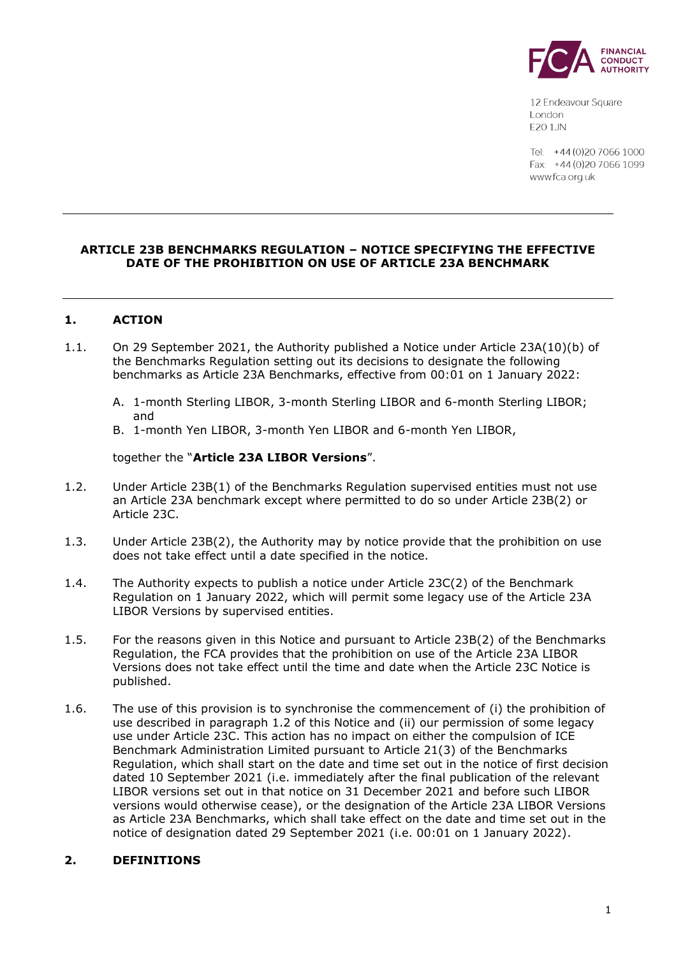

12 Endeavour Square London E201JN

Tel: +44 (0) 20 7066 1000 Fax: +44 (0) 20 7066 1099 www.fca.org.uk

## **ARTICLE 23B BENCHMARKS REGULATION – NOTICE SPECIFYING THE EFFECTIVE DATE OF THE PROHIBITION ON USE OF ARTICLE 23A BENCHMARK**

# **1. ACTION**

- 1.1. On 29 September 2021, the Authority published a Notice under Article 23A(10)(b) of the Benchmarks Regulation setting out its decisions to designate the following benchmarks as Article 23A Benchmarks, effective from 00:01 on 1 January 2022:
	- A. 1-month Sterling LIBOR, 3-month Sterling LIBOR and 6-month Sterling LIBOR; and
	- B. 1-month Yen LIBOR, 3-month Yen LIBOR and 6-month Yen LIBOR,

## together the "**Article 23A LIBOR Versions**".

- 1.2. Under Article 23B(1) of the Benchmarks Regulation supervised entities must not use an Article 23A benchmark except where permitted to do so under Article 23B(2) or Article 23C.
- 1.3. Under Article 23B(2), the Authority may by notice provide that the prohibition on use does not take effect until a date specified in the notice.
- 1.4. The Authority expects to publish a notice under Article 23C(2) of the Benchmark Regulation on 1 January 2022, which will permit some legacy use of the Article 23A LIBOR Versions by supervised entities.
- 1.5. For the reasons given in this Notice and pursuant to Article 23B(2) of the Benchmarks Regulation, the FCA provides that the prohibition on use of the Article 23A LIBOR Versions does not take effect until the time and date when the Article 23C Notice is published.
- 1.6. The use of this provision is to synchronise the commencement of (i) the prohibition of use described in paragraph 1.2 of this Notice and (ii) our permission of some legacy use under Article 23C. This action has no impact on either the compulsion of ICE Benchmark Administration Limited pursuant to Article 21(3) of the Benchmarks Regulation, which shall start on the date and time set out in the notice of first decision dated 10 September 2021 (i.e. immediately after the final publication of the relevant LIBOR versions set out in that notice on 31 December 2021 and before such LIBOR versions would otherwise cease), or the designation of the Article 23A LIBOR Versions as Article 23A Benchmarks, which shall take effect on the date and time set out in the notice of designation dated 29 September 2021 (i.e. 00:01 on 1 January 2022).

### **2. DEFINITIONS**